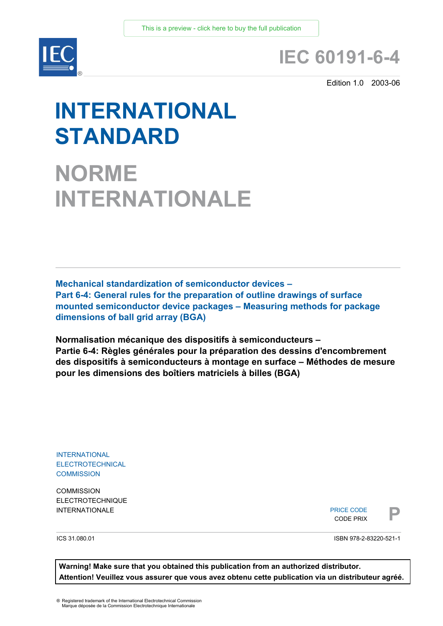

# **IEC 60191-6-4**

Edition 1.0 2003-06

# **INTERNATIONAL STANDARD**

**NORME INTERNATIONALE**

**Mechanical standardization of semiconductor devices – Part 6-4: General rules for the preparation of outline drawings of surface mounted semiconductor device packages – Measuring methods for package dimensions of ball grid array (BGA)** 

**Normalisation mécanique des dispositifs à semiconducteurs – Partie 6-4: Règles générales pour la préparation des dessins d'encombrement des dispositifs à semiconducteurs à montage en surface – Méthodes de mesure pour les dimensions des boîtiers matriciels à billes (BGA)**

INTERNATIONAL ELECTROTECHNICAL **COMMISSION** 

**COMMISSION** ELECTROTECHNIQUE

INTERNATIONALE PRICE CODE PRIX PRICE CODE CODE PRIX



ICS 31.080.01

ISBN 978-2-83220-521-1

**Warning! Make sure that you obtained this publication from an authorized distributor. Attention! Veuillez vous assurer que vous avez obtenu cette publication via un distributeur agréé.**

® Registered trademark of the International Electrotechnical Commission Marque déposée de la Commission Electrotechnique Internationale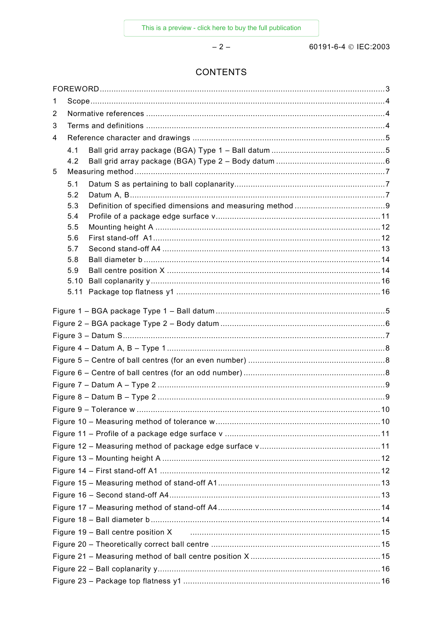$-2-$ 

## **CONTENTS**

| 1<br>2<br>3<br>4<br>4.1<br>4.2<br>5<br>5.1<br>5.2<br>5.3<br>5.4<br>5.5<br>5.6<br>5.7<br>5.8<br>5.9<br>5.10 |  |  |  |  |  |  |  |
|------------------------------------------------------------------------------------------------------------|--|--|--|--|--|--|--|
|                                                                                                            |  |  |  |  |  |  |  |
|                                                                                                            |  |  |  |  |  |  |  |
|                                                                                                            |  |  |  |  |  |  |  |
|                                                                                                            |  |  |  |  |  |  |  |
|                                                                                                            |  |  |  |  |  |  |  |
|                                                                                                            |  |  |  |  |  |  |  |
|                                                                                                            |  |  |  |  |  |  |  |
|                                                                                                            |  |  |  |  |  |  |  |
|                                                                                                            |  |  |  |  |  |  |  |
|                                                                                                            |  |  |  |  |  |  |  |
|                                                                                                            |  |  |  |  |  |  |  |
|                                                                                                            |  |  |  |  |  |  |  |
|                                                                                                            |  |  |  |  |  |  |  |
|                                                                                                            |  |  |  |  |  |  |  |
|                                                                                                            |  |  |  |  |  |  |  |
|                                                                                                            |  |  |  |  |  |  |  |
|                                                                                                            |  |  |  |  |  |  |  |
|                                                                                                            |  |  |  |  |  |  |  |
|                                                                                                            |  |  |  |  |  |  |  |
|                                                                                                            |  |  |  |  |  |  |  |
|                                                                                                            |  |  |  |  |  |  |  |
|                                                                                                            |  |  |  |  |  |  |  |
|                                                                                                            |  |  |  |  |  |  |  |
|                                                                                                            |  |  |  |  |  |  |  |
|                                                                                                            |  |  |  |  |  |  |  |
|                                                                                                            |  |  |  |  |  |  |  |
|                                                                                                            |  |  |  |  |  |  |  |
|                                                                                                            |  |  |  |  |  |  |  |
|                                                                                                            |  |  |  |  |  |  |  |
|                                                                                                            |  |  |  |  |  |  |  |
|                                                                                                            |  |  |  |  |  |  |  |
|                                                                                                            |  |  |  |  |  |  |  |
|                                                                                                            |  |  |  |  |  |  |  |
|                                                                                                            |  |  |  |  |  |  |  |
|                                                                                                            |  |  |  |  |  |  |  |
|                                                                                                            |  |  |  |  |  |  |  |
|                                                                                                            |  |  |  |  |  |  |  |
|                                                                                                            |  |  |  |  |  |  |  |
|                                                                                                            |  |  |  |  |  |  |  |
|                                                                                                            |  |  |  |  |  |  |  |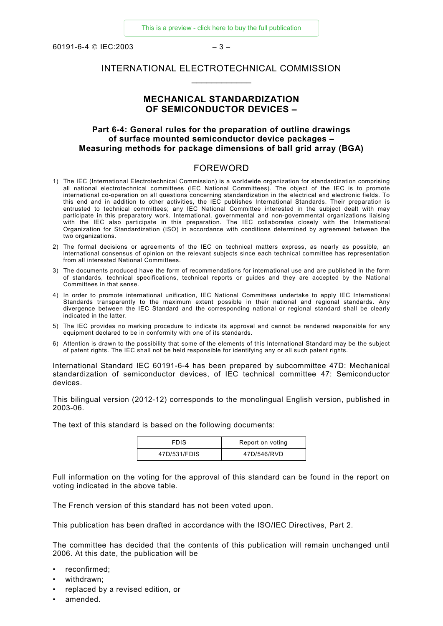$60191 - 6 - 4 \odot 1F C \cdot 2003$  – 3 –

#### INTERNATIONAL ELECTROTECHNICAL COMMISSION \_\_\_\_\_\_\_\_\_\_\_\_

#### **MECHANICAL STANDARDIZATION OF SEMICONDUCTOR DEVICES –**

#### **Part 6-4: General rules for the preparation of outline drawings of surface mounted semiconductor device packages – Measuring methods for package dimensions of ball grid array (BGA)**

#### FOREWORD

- 1) The IEC (International Electrotechnical Commission) is a worldwide organization for standardization comprising all national electrotechnical committees (IEC National Committees). The object of the IEC is to promote international co-operation on all questions concerning standardization in the electrical and electronic fields. To this end and in addition to other activities, the IEC publishes International Standards. Their preparation is entrusted to technical committees; any IEC National Committee interested in the subject dealt with may participate in this preparatory work. International, governmental and non-governmental organizations liaising with the IEC also participate in this preparation. The IEC collaborates closely with the International Organization for Standardization (ISO) in accordance with conditions determined by agreement between the two organizations.
- 2) The formal decisions or agreements of the IEC on technical matters express, as nearly as possible, an international consensus of opinion on the relevant subjects since each technical committee has representation from all interested National Committees.
- 3) The documents produced have the form of recommendations for international use and are published in the form of standards, technical specifications, technical reports or guides and they are accepted by the National Committees in that sense.
- 4) In order to promote international unification, IEC National Committees undertake to apply IEC International Standards transparently to the maximum extent possible in their national and regional standards. Any divergence between the IEC Standard and the corresponding national or regional standard shall be clearly indicated in the latter.
- 5) The IEC provides no marking procedure to indicate its approval and cannot be rendered responsible for any equipment declared to be in conformity with one of its standards.
- 6) Attention is drawn to the possibility that some of the elements of this International Standard may be the subject of patent rights. The IEC shall not be held responsible for identifying any or all such patent rights.

International Standard IEC 60191-6-4 has been prepared by subcommittee 47D: Mechanical standardization of semiconductor devices, of IEC technical committee 47: Semiconductor devices.

This bilingual version (2012-12) corresponds to the monolingual English version, published in 2003-06.

The text of this standard is based on the following documents:

| <b>FDIS</b>  | Report on voting |
|--------------|------------------|
| 47D/531/FDIS | 47D/546/RVD      |

Full information on the voting for the approval of this standard can be found in the report on voting indicated in the above table.

The French version of this standard has not been voted upon.

This publication has been drafted in accordance with the ISO/IEC Directives, Part 2.

The committee has decided that the contents of this publication will remain unchanged until 2006. At this date, the publication will be

- reconfirmed;
- withdrawn:
- replaced by a revised edition, or
- amended.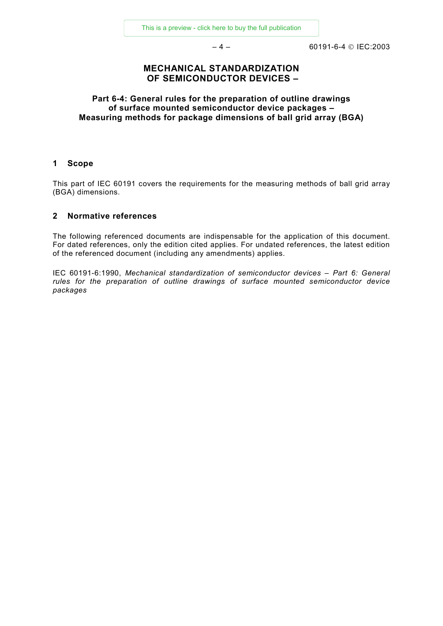$-4 - 60191 - 6 - 4 \odot 12003$ 

#### **MECHANICAL STANDARDIZATION OF SEMICONDUCTOR DEVICES –**

**Part 6-4: General rules for the preparation of outline drawings of surface mounted semiconductor device packages – Measuring methods for package dimensions of ball grid array (BGA)**

#### **1 Scope**

This part of IEC 60191 covers the requirements for the measuring methods of ball grid array (BGA) dimensions.

#### **2 Normative references**

The following referenced documents are indispensable for the application of this document. For dated references, only the edition cited applies. For undated references, the latest edition of the referenced document (including any amendments) applies.

IEC 60191-6:1990, *Mechanical standardization of semiconductor devices – Part 6: General rules for the preparation of outline drawings of surface mounted semiconductor device packages*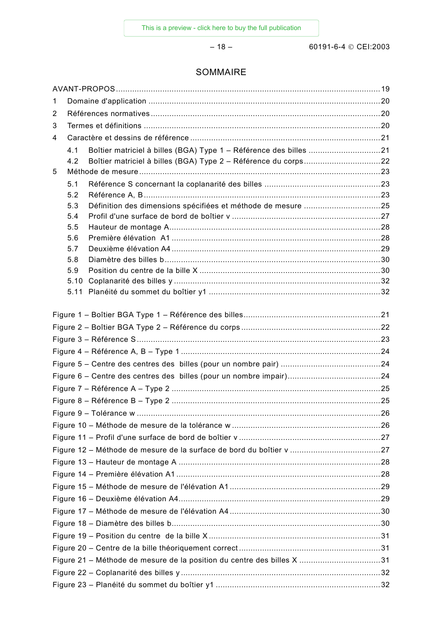$-18 - 60191 - 6 - 4 \odot \text{CE}$ 

### SOMMAIRE

| 1 |            |                                                                        |  |  |
|---|------------|------------------------------------------------------------------------|--|--|
| 2 |            |                                                                        |  |  |
| 3 |            |                                                                        |  |  |
| 4 |            |                                                                        |  |  |
|   | 4.1        |                                                                        |  |  |
|   | 4.2        |                                                                        |  |  |
| 5 |            |                                                                        |  |  |
|   | 5.1        |                                                                        |  |  |
|   | 5.2        |                                                                        |  |  |
|   | 5.3        | Définition des dimensions spécifiées et méthode de mesure 25           |  |  |
|   | 5.4        |                                                                        |  |  |
|   | 5.5        |                                                                        |  |  |
|   | 5.6<br>5.7 |                                                                        |  |  |
|   | 5.8        |                                                                        |  |  |
|   | 5.9        |                                                                        |  |  |
|   | 5.10       |                                                                        |  |  |
|   |            |                                                                        |  |  |
|   |            |                                                                        |  |  |
|   |            |                                                                        |  |  |
|   |            |                                                                        |  |  |
|   |            |                                                                        |  |  |
|   |            |                                                                        |  |  |
|   |            |                                                                        |  |  |
|   |            |                                                                        |  |  |
|   |            |                                                                        |  |  |
|   |            |                                                                        |  |  |
|   |            |                                                                        |  |  |
|   |            |                                                                        |  |  |
|   |            |                                                                        |  |  |
|   |            |                                                                        |  |  |
|   |            |                                                                        |  |  |
|   |            |                                                                        |  |  |
|   |            |                                                                        |  |  |
|   |            |                                                                        |  |  |
|   |            |                                                                        |  |  |
|   |            |                                                                        |  |  |
|   |            |                                                                        |  |  |
|   |            |                                                                        |  |  |
|   |            |                                                                        |  |  |
|   |            | Figure 21 – Méthode de mesure de la position du centre des billes X 31 |  |  |
|   |            |                                                                        |  |  |
|   |            |                                                                        |  |  |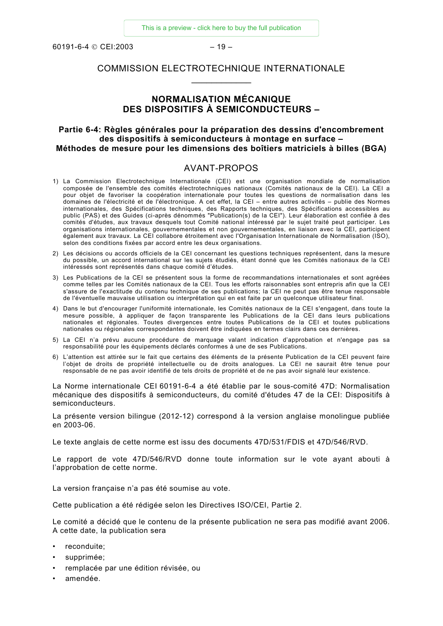$60191-6-4$  © CEI:2003 – 19 –

#### COMMISSION ELECTROTECHNIQUE INTERNATIONALE \_\_\_\_\_\_\_\_\_\_\_\_

#### **NORMALISATION MÉCANIQUE DES DISPOSITIFS À SEMICONDUCTEURS –**

#### **Partie 6-4: Règles générales pour la préparation des dessins d'encombrement des dispositifs à semiconducteurs à montage en surface – Méthodes de mesure pour les dimensions des boîtiers matriciels à billes (BGA)**

#### AVANT-PROPOS

- 1) La Commission Electrotechnique Internationale (CEI) est une organisation mondiale de normalisation composée de l'ensemble des comités électrotechniques nationaux (Comités nationaux de la CEI). La CEI a pour objet de favoriser la coopération internationale pour toutes les questions de normalisation dans les domaines de l'électricité et de l'électronique. A cet effet, la CEI – entre autres activités – publie des Normes internationales, des Spécifications techniques, des Rapports techniques, des Spécifications accessibles au public (PAS) et des Guides (ci-après dénommés "Publication(s) de la CEI"). Leur élaboration est confiée à des comités d'études, aux travaux desquels tout Comité national intéressé par le sujet traité peut participer. Les organisations internationales, gouvernementales et non gouvernementales, en liaison avec la CEI, participent également aux travaux. La CEI collabore étroitement avec l'Organisation Internationale de Normalisation (ISO), selon des conditions fixées par accord entre les deux organisations.
- 2) Les décisions ou accords officiels de la CEI concernant les questions techniques représentent, dans la mesure du possible, un accord international sur les sujets étudiés, étant donné que les Comités nationaux de la CEI intéressés sont représentés dans chaque comité d'études.
- 3) Les Publications de la CEI se présentent sous la forme de recommandations internationales et sont agréées comme telles par les Comités nationaux de la CEI. Tous les efforts raisonnables sont entrepris afin que la CEI s'assure de l'exactitude du contenu technique de ses publications; la CEI ne peut pas être tenue responsable de l'éventuelle mauvaise utilisation ou interprétation qui en est faite par un quelconque utilisateur final.
- 4) Dans le but d'encourager l'uniformité internationale, les Comités nationaux de la CEI s'engagent, dans toute la mesure possible, à appliquer de façon transparente les Publications de la CEI dans leurs publications nationales et régionales. Toutes divergences entre toutes Publications de la CEI et toutes publications nationales ou régionales correspondantes doivent être indiquées en termes clairs dans ces dernières.
- 5) La CEI n'a prévu aucune procédure de marquage valant indication d'approbation et n'engage pas sa responsabilité pour les équipements déclarés conformes à une de ses Publications.
- 6) L'attention est attirée sur le fait que certains des éléments de la présente Publication de la CEI peuvent faire l'objet de droits de propriété intellectuelle ou de droits analogues. La CEI ne saurait être tenue pour responsable de ne pas avoir identifié de tels droits de propriété et de ne pas avoir signalé leur existence.

La Norme internationale CEI 60191-6-4 a été établie par le sous-comité 47D: Normalisation mécanique des dispositifs à semiconducteurs, du comité d'études 47 de la CEI: Dispositifs à semiconducteurs.

La présente version bilingue (2012-12) correspond à la version anglaise monolingue publiée en 2003-06.

Le texte anglais de cette norme est issu des documents 47D/531/FDIS et 47D/546/RVD.

Le rapport de vote 47D/546/RVD donne toute information sur le vote ayant abouti à l'approbation de cette norme.

La version française n'a pas été soumise au vote.

Cette publication a été rédigée selon les Directives ISO/CEI, Partie 2.

Le comité a décidé que le contenu de la présente publication ne sera pas modifié avant 2006. A cette date, la publication sera

- reconduite;
- supprimée;
- remplacée par une édition révisée, ou
- amendée.